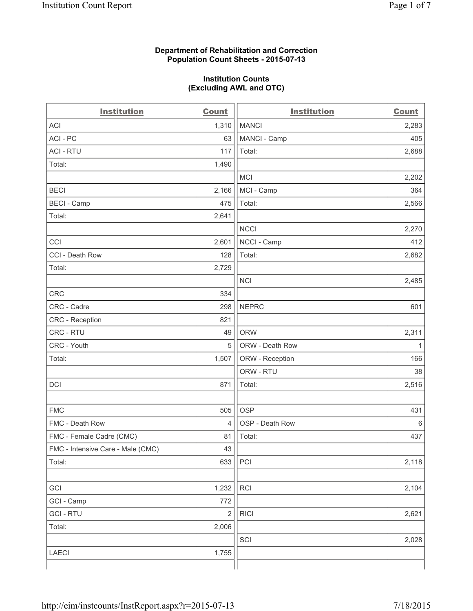## **Department of Rehabilitation and Correction Population Count Sheets - 2015-07-13**

## **Institution Counts (Excluding AWL and OTC)**

| <b>Institution</b>                | <b>Count</b>   | <b>Institution</b> | <b>Count</b> |
|-----------------------------------|----------------|--------------------|--------------|
| <b>ACI</b>                        | 1,310          | <b>MANCI</b>       | 2,283        |
| ACI-PC                            | 63             | MANCI - Camp       | 405          |
| <b>ACI - RTU</b>                  | 117            | Total:             | 2,688        |
| Total:                            | 1,490          |                    |              |
|                                   |                | <b>MCI</b>         | 2,202        |
| <b>BECI</b>                       | 2,166          | MCI - Camp         | 364          |
| <b>BECI - Camp</b>                | 475            | Total:             | 2,566        |
| Total:                            | 2,641          |                    |              |
|                                   |                | <b>NCCI</b>        | 2,270        |
| CCI                               | 2,601          | NCCI - Camp        | 412          |
| CCI - Death Row                   | 128            | Total:             | 2,682        |
| Total:                            | 2,729          |                    |              |
|                                   |                | <b>NCI</b>         | 2,485        |
| <b>CRC</b>                        | 334            |                    |              |
| CRC - Cadre                       | 298            | <b>NEPRC</b>       | 601          |
| CRC - Reception                   | 821            |                    |              |
| CRC - RTU                         | 49             | <b>ORW</b>         | 2,311        |
| CRC - Youth                       | 5              | ORW - Death Row    | 1            |
| Total:                            | 1,507          | ORW - Reception    | 166          |
|                                   |                | ORW - RTU          | 38           |
| DCI                               | 871            | Total:             | 2,516        |
|                                   |                |                    |              |
| <b>FMC</b>                        | 505            | <b>OSP</b>         | 431          |
| FMC - Death Row                   | $\overline{4}$ | OSP - Death Row    | 6            |
| FMC - Female Cadre (CMC)          | 81             | Total:             | 437          |
| FMC - Intensive Care - Male (CMC) | 43             |                    |              |
| Total:                            | 633            | PCI                | 2,118        |
|                                   |                |                    |              |
| GCI                               | 1,232          | RCI                | 2,104        |
| GCI - Camp                        | 772            |                    |              |
| <b>GCI-RTU</b>                    | $\overline{2}$ | <b>RICI</b>        | 2,621        |
| Total:                            | 2,006          |                    |              |
|                                   |                | SCI                | 2,028        |
| LAECI                             | 1,755          |                    |              |
|                                   |                |                    |              |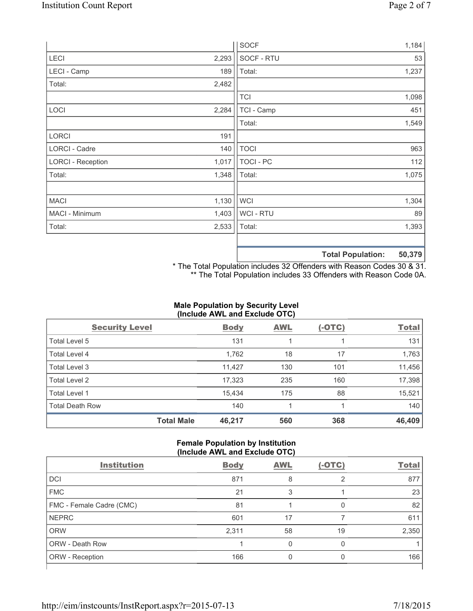|                          |       | <b>SOCF</b>      | 1,184          |
|--------------------------|-------|------------------|----------------|
| LECI                     | 2,293 | SOCF - RTU       | 53             |
| LECI - Camp              | 189   | Total:           | 1,237          |
| Total:                   | 2,482 |                  |                |
|                          |       | <b>TCI</b>       | 1,098          |
| LOCI                     | 2,284 | TCI - Camp       | 451            |
|                          |       | Total:           | 1,549          |
| LORCI                    | 191   |                  |                |
| LORCI - Cadre            | 140   | <b>TOCI</b>      | 963            |
| <b>LORCI - Reception</b> | 1,017 | <b>TOCI - PC</b> | 112            |
| Total:                   | 1,348 | Total:           | 1,075          |
|                          |       |                  |                |
| <b>MACI</b>              | 1,130 | <b>WCI</b>       | 1,304          |
| MACI - Minimum           | 1,403 | WCI - RTU        | 89             |
| Total:                   | 2,533 | Total:           | 1,393          |
|                          |       |                  |                |
|                          |       |                  | ______<br>---- |

**Total Population: 50,379**

\* The Total Population includes 32 Offenders with Reason Codes 30 & 31. \*\* The Total Population includes 33 Offenders with Reason Code 0A.

# **Male Population by Security Level (Include AWL and Exclude OTC)**

| <b>Security Level</b>  |                   | <b>Body</b> | <b>AWL</b> | $(-OTC)$ | <b>Total</b> |
|------------------------|-------------------|-------------|------------|----------|--------------|
| Total Level 5          |                   | 131         |            |          | 131          |
| <b>Total Level 4</b>   |                   | 1,762       | 18         | 17       | 1,763        |
| Total Level 3          |                   | 11,427      | 130        | 101      | 11,456       |
| Total Level 2          |                   | 17,323      | 235        | 160      | 17,398       |
| Total Level 1          |                   | 15,434      | 175        | 88       | 15,521       |
| <b>Total Death Row</b> |                   | 140         |            |          | 140          |
|                        | <b>Total Male</b> | 46,217      | 560        | 368      | 46,409       |

## **Female Population by Institution (Include AWL and Exclude OTC)**

| .                        |             |            |          |              |
|--------------------------|-------------|------------|----------|--------------|
| <b>Institution</b>       | <b>Body</b> | <b>AWL</b> | $(-OTC)$ | <b>Total</b> |
| DCI                      | 871         | 8          | 2        | 877          |
| <b>FMC</b>               | 21          | 3          |          | 23           |
| FMC - Female Cadre (CMC) | 81          |            | 0        | 82           |
| <b>NEPRC</b>             | 601         | 17         |          | 611          |
| <b>ORW</b>               | 2,311       | 58         | 19       | 2,350        |
| <b>ORW - Death Row</b>   |             |            | 0        |              |
| ORW - Reception          | 166         |            | O        | 166          |
|                          |             |            |          |              |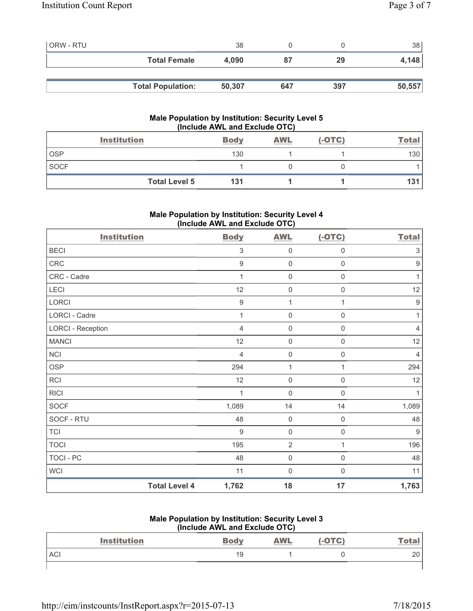| <b>ORW - RTU</b> |                          | 38     |     |     | 38     |
|------------------|--------------------------|--------|-----|-----|--------|
|                  | <b>Total Female</b>      | 4,090  | 87  | 29  | 4,148  |
|                  |                          |        |     |     |        |
|                  | <b>Total Population:</b> | 50,307 | 647 | 397 | 50,557 |

# **Male Population by Institution: Security Level 5 (Include AWL and Exclude OTC)**

|             | <b>Institution</b>   | <b>Body</b> | <b>AWL</b> | $(-OTC)$ | <b>Total</b>     |
|-------------|----------------------|-------------|------------|----------|------------------|
| <b>OSP</b>  |                      | 130         |            |          | 130 <sub>1</sub> |
| <b>SOCF</b> |                      |             |            |          |                  |
|             | <b>Total Level 5</b> | 131         |            |          | 131              |

# **Male Population by Institution: Security Level 4 (Include AWL and Exclude OTC)**

| <b>Institution</b>       |                      | <b>Body</b>    | <b>AWL</b>          | $(-OTC)$            | <b>Total</b>              |
|--------------------------|----------------------|----------------|---------------------|---------------------|---------------------------|
| <b>BECI</b>              |                      | $\mathsf 3$    | 0                   | $\mathsf{O}\xspace$ | $\ensuremath{\mathsf{3}}$ |
| CRC                      |                      | $\mathsf g$    | $\mathsf{O}\xspace$ | $\mathsf{O}\xspace$ | $\boldsymbol{9}$          |
| CRC - Cadre              |                      | 1              | $\mathsf{O}\xspace$ | $\boldsymbol{0}$    | 1                         |
| LECI                     |                      | 12             | $\mathsf{O}\xspace$ | $\boldsymbol{0}$    | 12                        |
| LORCI                    |                      | $\mathsf g$    | 1                   | 1                   | $\boldsymbol{9}$          |
| LORCI - Cadre            |                      | 1              | 0                   | $\mathbf 0$         | 1                         |
| <b>LORCI - Reception</b> |                      | $\overline{4}$ | 0                   | $\mathsf 0$         | $\overline{4}$            |
| <b>MANCI</b>             |                      | 12             | $\mathsf{O}\xspace$ | $\mathsf{O}\xspace$ | 12                        |
| <b>NCI</b>               |                      | $\overline{4}$ | $\mathsf{O}\xspace$ | $\mathsf{O}\xspace$ | $\overline{4}$            |
| <b>OSP</b>               |                      | 294            | 1                   | 1                   | 294                       |
| RCI                      |                      | 12             | $\mathbf 0$         | $\mathsf{O}\xspace$ | 12                        |
| <b>RICI</b>              |                      | 1              | $\mathbf 0$         | $\boldsymbol{0}$    | 1                         |
| <b>SOCF</b>              |                      | 1,089          | 14                  | 14                  | 1,089                     |
| SOCF - RTU               |                      | 48             | $\mathsf{O}\xspace$ | $\mathsf 0$         | 48                        |
| <b>TCI</b>               |                      | $9$            | $\mathsf{O}\xspace$ | $\boldsymbol{0}$    | $\boldsymbol{9}$          |
| <b>TOCI</b>              |                      | 195            | $\overline{2}$      | 1                   | 196                       |
| TOCI - PC                |                      | 48             | $\mathbf 0$         | $\mathsf{O}\xspace$ | 48                        |
| <b>WCI</b>               |                      | 11             | $\mathbf 0$         | 0                   | 11                        |
|                          | <b>Total Level 4</b> | 1,762          | 18                  | 17                  | 1,763                     |

#### **Male Population by Institution: Security Level 3 (Include AWL and Exclude OTC)**

| <b>Institution</b> | THURS AND AND LACIUS OT UP<br><b>Body</b> | <b>AWL</b> | $(-OTC)$ | <b>Total</b> |
|--------------------|-------------------------------------------|------------|----------|--------------|
| <b>ACI</b>         | 19                                        |            |          | ററ           |
|                    |                                           |            |          |              |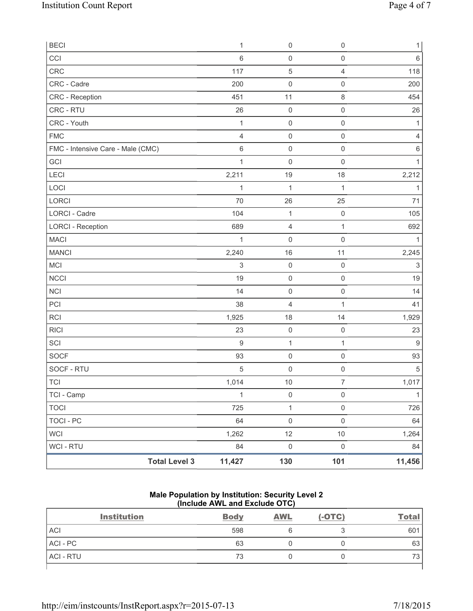| <b>BECI</b>                       | $\mathbf{1}$   | $\mathsf{O}\xspace$ | $\mathsf 0$         | $\mathbf{1}$ |
|-----------------------------------|----------------|---------------------|---------------------|--------------|
| CCI                               | 6              | $\mathsf{O}\xspace$ | $\mathsf 0$         | 6            |
| CRC                               | 117            | 5                   | $\overline{4}$      | 118          |
| CRC - Cadre                       | 200            | $\mathsf{O}\xspace$ | $\mathsf 0$         | 200          |
| <b>CRC</b> - Reception            | 451            | 11                  | $\,8\,$             | 454          |
| CRC - RTU                         | 26             | $\mathsf{O}\xspace$ | $\mathsf 0$         | 26           |
| CRC - Youth                       | $\mathbf{1}$   | $\mathsf{O}\xspace$ | $\mathsf 0$         | $\mathbf{1}$ |
| <b>FMC</b>                        | $\overline{4}$ | $\mathsf{O}\xspace$ | $\mathsf 0$         | 4            |
| FMC - Intensive Care - Male (CMC) | $\,6\,$        | $\mathsf{O}\xspace$ | $\mathsf 0$         | 6            |
| GCI                               | $\mathbf{1}$   | $\mathsf{O}\xspace$ | $\mathsf 0$         | 1            |
| LECI                              | 2,211          | 19                  | 18                  | 2,212        |
| LOCI                              | $\mathbf{1}$   | $\mathbf{1}$        | 1                   | $\mathbf{1}$ |
| LORCI                             | 70             | 26                  | 25                  | 71           |
| LORCI - Cadre                     | 104            | $\mathbf{1}$        | $\mathsf 0$         | 105          |
| <b>LORCI - Reception</b>          | 689            | 4                   | $\mathbf{1}$        | 692          |
| <b>MACI</b>                       | 1              | $\mathbf 0$         | $\mathsf 0$         | 1            |
| <b>MANCI</b>                      | 2,240          | 16                  | 11                  | 2,245        |
| MCI                               | $\sqrt{3}$     | $\mathsf{O}\xspace$ | $\mathsf 0$         | $\sqrt{3}$   |
| <b>NCCI</b>                       | 19             | $\mathsf{O}\xspace$ | $\mathsf 0$         | 19           |
| <b>NCI</b>                        | 14             | $\mathsf{O}\xspace$ | $\mathsf 0$         | 14           |
| PCI                               | 38             | 4                   | $\mathbf{1}$        | 41           |
| <b>RCI</b>                        | 1,925          | 18                  | 14                  | 1,929        |
| <b>RICI</b>                       | 23             | $\mathsf{O}\xspace$ | $\mathbf 0$         | 23           |
| SCI                               | 9              | $\mathbf 1$         | 1                   | 9            |
| SOCF                              | 93             | $\mathsf 0$         | $\mathsf 0$         | 93           |
| SOCF - RTU                        | 5              | $\mathsf{O}\xspace$ | $\mathsf 0$         | $\sqrt{5}$   |
| <b>TCI</b>                        | 1,014          | 10                  | $\overline{7}$      | 1,017        |
| TCI - Camp                        | $\mathbf{1}$   | $\mathsf{O}\xspace$ | $\mathsf{O}\xspace$ | $\mathbf{1}$ |
| <b>TOCI</b>                       | 725            | $\mathbf 1$         | $\mathsf{O}\xspace$ | 726          |
| <b>TOCI - PC</b>                  | 64             | $\mathsf{O}\xspace$ | $\mathbf 0$         | 64           |
| <b>WCI</b>                        | 1,262          | 12                  | $10$                | 1,264        |
| <b>WCI - RTU</b>                  | 84             | $\mathsf{O}\xspace$ | $\mathsf 0$         | 84           |
| <b>Total Level 3</b>              | 11,427         | 130                 | 101                 | 11,456       |

## **Male Population by Institution: Security Level 2 (Include AWL and Exclude OTC)**

| <b>Institution</b> | <b>Body</b> | <b>AWL</b> | $(-OTC)$ | <b>Total</b> |
|--------------------|-------------|------------|----------|--------------|
| <b>ACI</b>         | 598         |            |          | 601          |
| ACI - PC           | 63          |            |          | 63           |
| <b>ACI - RTU</b>   | 73          |            |          | 7c<br>ూ      |
|                    |             |            |          |              |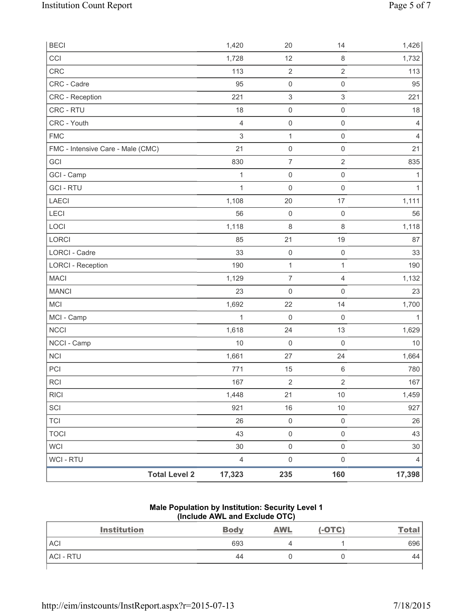| <b>BECI</b>                       | 1,420          | 20                        | 14                  | 1,426          |
|-----------------------------------|----------------|---------------------------|---------------------|----------------|
| CCI                               | 1,728          | 12                        | $\,8\,$             | 1,732          |
| <b>CRC</b>                        | 113            | $\overline{2}$            | $\overline{2}$      | 113            |
| CRC - Cadre                       | 95             | $\mathsf{O}\xspace$       | $\mathsf 0$         | 95             |
| CRC - Reception                   | 221            | $\ensuremath{\mathsf{3}}$ | 3                   | 221            |
| CRC - RTU                         | 18             | $\mathsf{O}\xspace$       | $\mathsf 0$         | 18             |
| CRC - Youth                       | $\overline{4}$ | $\mathsf 0$               | $\mathsf 0$         | $\overline{4}$ |
| <b>FMC</b>                        | $\mathsf 3$    | $\mathbf{1}$              | $\mathsf{O}\xspace$ | $\overline{4}$ |
| FMC - Intensive Care - Male (CMC) | 21             | $\mathsf{O}\xspace$       | $\mathsf 0$         | 21             |
| GCI                               | 830            | $\overline{7}$            | $\overline{2}$      | 835            |
| GCI - Camp                        | $\mathbf{1}$   | $\mathsf{O}\xspace$       | $\mathsf 0$         | 1              |
| <b>GCI-RTU</b>                    | 1              | $\mathbf 0$               | $\mathsf 0$         | $\mathbf{1}$   |
| <b>LAECI</b>                      | 1,108          | 20                        | 17                  | 1,111          |
| LECI                              | 56             | $\mathsf{O}\xspace$       | $\mathbf 0$         | 56             |
| LOCI                              | 1,118          | $\,8\,$                   | $\,8\,$             | 1,118          |
| <b>LORCI</b>                      | 85             | 21                        | 19                  | 87             |
| LORCI - Cadre                     | 33             | $\mathsf{O}\xspace$       | $\mathsf 0$         | 33             |
| <b>LORCI - Reception</b>          | 190            | $\mathbf{1}$              | $\mathbf{1}$        | 190            |
| <b>MACI</b>                       | 1,129          | $\boldsymbol{7}$          | 4                   | 1,132          |
| <b>MANCI</b>                      | 23             | $\mathsf{O}\xspace$       | $\mathsf 0$         | 23             |
| <b>MCI</b>                        | 1,692          | 22                        | 14                  | 1,700          |
| MCI - Camp                        | $\mathbf{1}$   | $\mathbf 0$               | $\mathbf 0$         | $\mathbf{1}$   |
| <b>NCCI</b>                       | 1,618          | 24                        | 13                  | 1,629          |
| NCCI - Camp                       | 10             | $\mathsf{O}\xspace$       | $\mathbf 0$         | $10$           |
| <b>NCI</b>                        | 1,661          | 27                        | 24                  | 1,664          |
| PCI                               | 771            | 15                        | $\,6\,$             | 780            |
| RCI                               | 167            | $\overline{2}$            | $\overline{2}$      | 167            |
| <b>RICI</b>                       | 1,448          | 21                        | $10$                | 1,459          |
| SCI                               | 921            | 16                        | $10$                | 927            |
| <b>TCI</b>                        | 26             | $\mathsf{O}\xspace$       | $\mathsf{O}\xspace$ | 26             |
| <b>TOCI</b>                       | 43             | $\mathsf{O}\xspace$       | $\mathsf{O}\xspace$ | 43             |
| <b>WCI</b>                        | $30\,$         | $\mathsf{O}\xspace$       | $\mathsf{O}\xspace$ | $30\,$         |
| <b>WCI - RTU</b>                  | $\overline{4}$ | $\mathsf{O}\xspace$       | $\mathsf{O}\xspace$ | $\overline{4}$ |
| <b>Total Level 2</b>              | 17,323         | 235                       | 160                 | 17,398         |

## **Male Population by Institution: Security Level 1 (Include AWL and Exclude OTC)**

| <b>Institution</b> | <b>Body</b> | <b>AWL</b> | $(-OTC)$ | <u>Total</u> |
|--------------------|-------------|------------|----------|--------------|
| <b>ACI</b>         | 693         |            |          | 696          |
| <b>ACI - RTU</b>   | 44          |            |          | 44           |
|                    |             |            |          |              |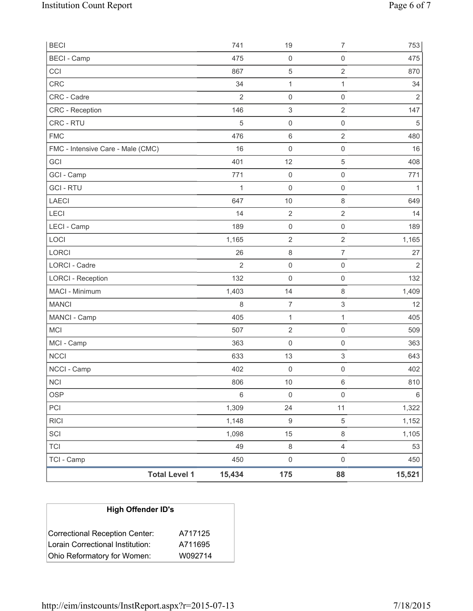| <b>BECI</b>                       | 741            | 19                        | 7                         | 753            |
|-----------------------------------|----------------|---------------------------|---------------------------|----------------|
| <b>BECI</b> - Camp                | 475            | $\mathsf{O}\xspace$       | $\mathsf{O}\xspace$       | 475            |
| CCI                               | 867            | $\mathbf 5$               | $\overline{2}$            | 870            |
| <b>CRC</b>                        | 34             | 1                         | $\mathbf{1}$              | 34             |
| CRC - Cadre                       | $\overline{2}$ | $\mathsf 0$               | $\mathsf 0$               | $\overline{2}$ |
| <b>CRC</b> - Reception            | 146            | $\ensuremath{\mathsf{3}}$ | $\sqrt{2}$                | 147            |
| CRC - RTU                         | 5              | $\mathsf 0$               | $\mathsf 0$               | $\sqrt{5}$     |
| <b>FMC</b>                        | 476            | 6                         | $\overline{2}$            | 480            |
| FMC - Intensive Care - Male (CMC) | 16             | $\mathsf{O}\xspace$       | $\mathsf 0$               | 16             |
| GCI                               | 401            | 12                        | $\,$ 5 $\,$               | 408            |
| GCI - Camp                        | 771            | $\mathsf{O}\xspace$       | $\mathsf{O}\xspace$       | 771            |
| <b>GCI-RTU</b>                    | $\mathbf{1}$   | $\mathsf{O}\xspace$       | $\mathsf 0$               | 1              |
| LAECI                             | 647            | 10                        | $\,8\,$                   | 649            |
| LECI                              | 14             | $\sqrt{2}$                | $\sqrt{2}$                | 14             |
| LECI - Camp                       | 189            | $\mathsf 0$               | $\mathsf{O}\xspace$       | 189            |
| LOCI                              | 1,165          | $\sqrt{2}$                | $\mathbf 2$               | 1,165          |
| LORCI                             | 26             | 8                         | $\overline{7}$            | 27             |
| LORCI - Cadre                     | $\overline{2}$ | 0                         | $\mathsf 0$               | $\overline{2}$ |
| <b>LORCI - Reception</b>          | 132            | 0                         | $\mathsf 0$               | 132            |
| MACI - Minimum                    | 1,403          | 14                        | $\,8\,$                   | 1,409          |
| <b>MANCI</b>                      | 8              | $\overline{7}$            | $\ensuremath{\mathsf{3}}$ | 12             |
| MANCI - Camp                      | 405            | $\mathbf{1}$              | $\mathbf{1}$              | 405            |
| <b>MCI</b>                        | 507            | $\sqrt{2}$                | $\mathsf 0$               | 509            |
| MCI - Camp                        | 363            | $\mathsf{O}\xspace$       | $\mathbf 0$               | 363            |
| <b>NCCI</b>                       | 633            | 13                        | 3                         | 643            |
| NCCI - Camp                       | 402            | $\mathsf{O}\xspace$       | $\mathsf 0$               | 402            |
| <b>NCI</b>                        | 806            | 10                        | $\,6\,$                   | 810            |
| <b>OSP</b>                        | $\,6\,$        | $\mathsf 0$               | $\mathsf{O}\xspace$       | $\,6\,$        |
| PCI                               | 1,309          | 24                        | 11                        | 1,322          |
| <b>RICI</b>                       | 1,148          | $\boldsymbol{9}$          | $\sqrt{5}$                | 1,152          |
| SCI                               | 1,098          | 15                        | $\,8\,$                   | 1,105          |
| <b>TCI</b>                        | 49             | $\,8\,$                   | $\overline{4}$            | 53             |
| TCI - Camp                        | 450            | $\mathsf{O}\xspace$       | $\mathsf 0$               | 450            |
| <b>Total Level 1</b>              | 15,434         | 175                       | 88                        | 15,521         |

| <b>High Offender ID's</b>        |         |  |  |  |
|----------------------------------|---------|--|--|--|
| Correctional Reception Center:   | A717125 |  |  |  |
| Lorain Correctional Institution: | A711695 |  |  |  |
| Ohio Reformatory for Women:      | W092714 |  |  |  |